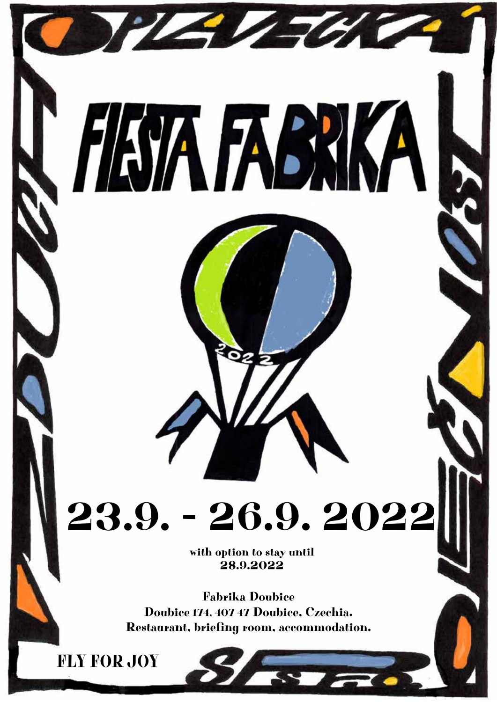

Fabrika Doubice Doubice 174, 407 47 Doubice, Czechia. Restaurant, briefing room, accommodation.

FLY FOR **JOY**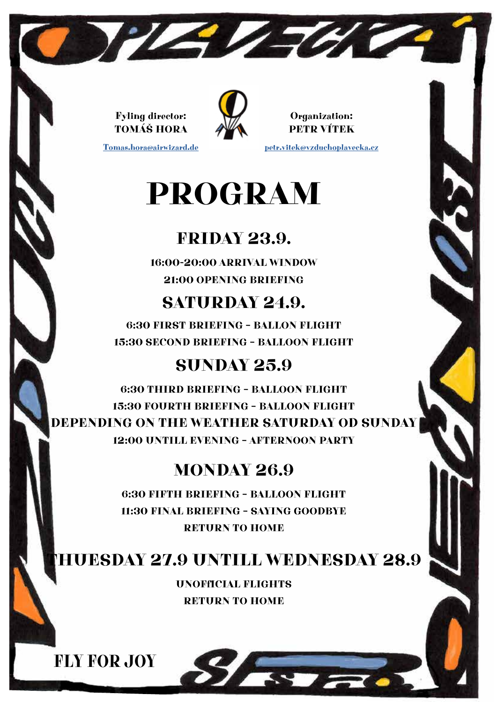Fyling director: TOMÁŠ HORA

Tomas.hora@airwizard.de



THE THE

Organization: PETR VÍTEK petr.vitek@vzduchoplavecka.cz

## PROGRAM

## FRIDAY 23.9.

16:00-20:00 ARRIVAL WINDOW 21:00 OPENING BRIEFING

## SATURDAY 24.9.

6:30 FIRST BRIEFING – BALLON FLIGHT 15:30 SECOND BRIEFING – BALLOON FLIGHT

### SUNDAY 25.9

6:30 THIRD BRIEFING – BALLOON FLIGHT 15:30 FOURTH BRIEFING – BALLOON FLIGHT DEPENDING ON THE WEATHER SATURDAY OD SUNDAY 12:00 UNTILL EVENING – AFTERNOON PARTY

## MONDAY 26.9

6:30 FIFTH BRIEFING – BALLOON FLIGHT 11:30 FINAL BRIEFING – SAYING GOODBYE RETURN TO HOME

### THUESDAY 27.9 UNTILL WEDNESDAY 28.9

UNOFfICIAL FLIGHTS RETURN TO HOME

**TANK** 

FLY FOR JOY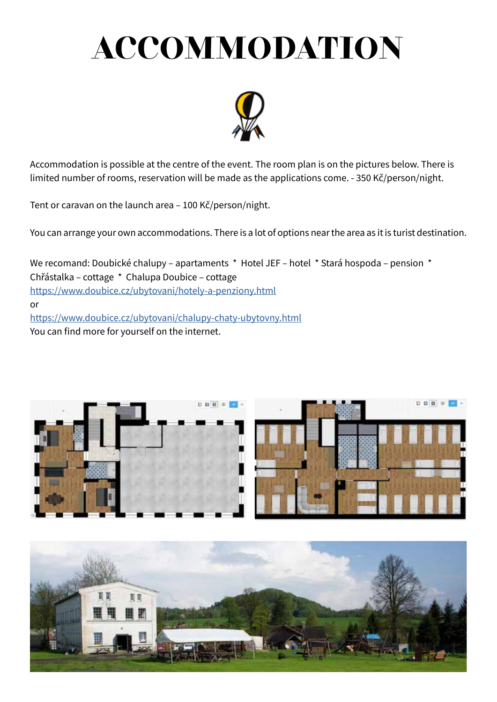# ACCOMMODATION



Accommodation is possible at the centre of the event. The room plan is on the pictures below. There is limited number of rooms, reservation will be made as the applications come. - 350 Kč/person/night.

Tent or caravan on the launch area – 100 Kč/person/night.

You can arrange your own accommodations. There is a lot of options near the area as it is turist destination.

We recomand: Doubické chalupy – apartaments \* Hotel JEF – hotel \* Stará hospoda – pension \* Chřástalka – cottage \* Chalupa Doubice – cottage https://www.doubice.cz/ubytovani/hotely-a-penziony.html or https://www.doubice.cz/ubytovani/chalupy-chaty-ubytovny.html You can find more for yourself on the internet.